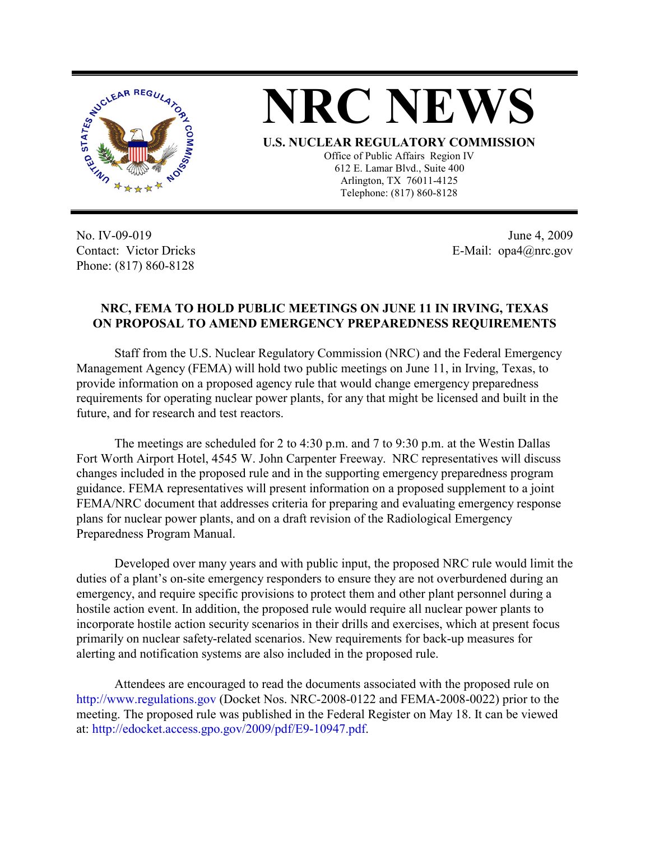



**U.S. NUCLEAR REGULATORY COMMISSION**

Office of Public Affairs Region IV 612 E. Lamar Blvd., Suite 400 Arlington, TX 76011-4125 Telephone: (817) 860-8128

No. IV-09-019 Contact: Victor Dricks Phone: (817) 860-8128

June 4, 2009 E-Mail: opa4@nrc.gov

## **NRC, FEMA TO HOLD PUBLIC MEETINGS ON JUNE 11 IN IRVING, TEXAS ON PROPOSAL TO AMEND EMERGENCY PREPAREDNESS REQUIREMENTS**

Staff from the U.S. Nuclear Regulatory Commission (NRC) and the Federal Emergency Management Agency (FEMA) will hold two public meetings on June 11, in Irving, Texas, to provide information on a proposed agency rule that would change emergency preparedness requirements for operating nuclear power plants, for any that might be licensed and built in the future, and for research and test reactors.

The meetings are scheduled for 2 to 4:30 p.m. and 7 to 9:30 p.m. at the Westin Dallas Fort Worth Airport Hotel, 4545 W. John Carpenter Freeway. NRC representatives will discuss changes included in the proposed rule and in the supporting emergency preparedness program guidance. FEMA representatives will present information on a proposed supplement to a joint FEMA/NRC document that addresses criteria for preparing and evaluating emergency response plans for nuclear power plants, and on a draft revision of the Radiological Emergency Preparedness Program Manual.

Developed over many years and with public input, the proposed NRC rule would limit the duties of a plant's on-site emergency responders to ensure they are not overburdened during an emergency, and require specific provisions to protect them and other plant personnel during a hostile action event. In addition, the proposed rule would require all nuclear power plants to incorporate hostile action security scenarios in their drills and exercises, which at present focus primarily on nuclear safety-related scenarios. New requirements for back-up measures for alerting and notification systems are also included in the proposed rule.

Attendees are encouraged to read the documents associated with the proposed rule on http://www.regulations.gov (Docket Nos. NRC-2008-0122 and FEMA-2008-0022) prior to the meeting. The proposed rule was published in the Federal Register on May 18. It can be viewed at: http://edocket.access.gpo.gov/2009/pdf/E9-10947.pdf.